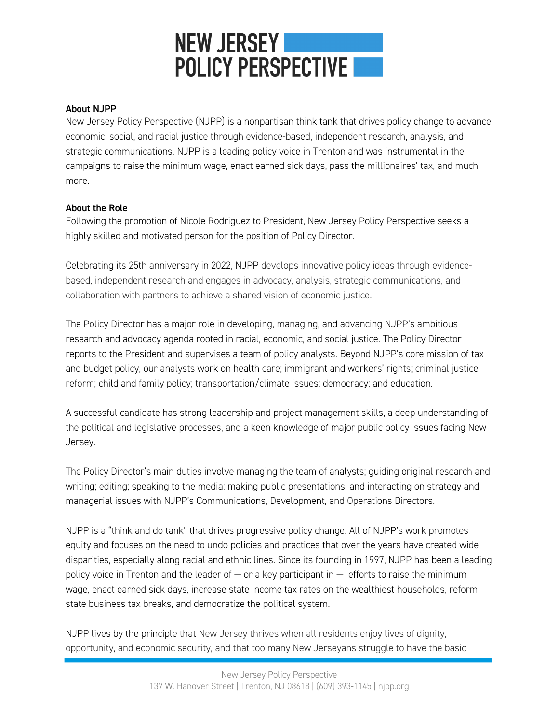# **NEW JERSEY POLICY PERSPECTIVE**

### About NJPP

New Jersey Policy Perspective (NJPP) is a nonpartisan think tank that drives policy change to advance economic, social, and racial justice through evidence-based, independent research, analysis, and strategic communications. NJPP is a leading policy voice in Trenton and was instrumental in the campaigns to raise the minimum wage, enact earned sick days, pass the millionaires' tax, and much more.

## About the Role

Following the promotion of Nicole Rodriguez to President, New Jersey Policy Perspective seeks a highly skilled and motivated person for the position of Policy Director.

Celebrating its 25th anniversary in 2022, NJPP develops innovative policy ideas through evidencebased, independent research and engages in advocacy, analysis, strategic communications, and collaboration with partners to achieve a shared vision of economic justice.

The Policy Director has a major role in developing, managing, and advancing NJPP's ambitious research and advocacy agenda rooted in racial, economic, and social justice. The Policy Director reports to the President and supervises a team of policy analysts. Beyond NJPP's core mission of tax and budget policy, our analysts work on health care; immigrant and workers' rights; criminal justice reform; child and family policy; transportation/climate issues; democracy; and education.

A successful candidate has strong leadership and project management skills, a deep understanding of the political and legislative processes, and a keen knowledge of major public policy issues facing New Jersey.

The Policy Director's main duties involve managing the team of analysts; guiding original research and writing; editing; speaking to the media; making public presentations; and interacting on strategy and managerial issues with NJPP's Communications, Development, and Operations Directors.

NJPP is a "think and do tank" that drives progressive policy change. All of NJPP's work promotes equity and focuses on the need to undo policies and practices that over the years have created wide disparities, especially along racial and ethnic lines. Since its founding in 1997, NJPP has been a leading policy voice in Trenton and the leader of  $-$  or a key participant in  $-$  efforts to raise the minimum wage, enact earned sick days, increase state income tax rates on the wealthiest households, reform state business tax breaks, and democratize the political system.

NJPP lives by the principle that New Jersey thrives when all residents enjoy lives of dignity, opportunity, and economic security, and that too many New Jerseyans struggle to have the basic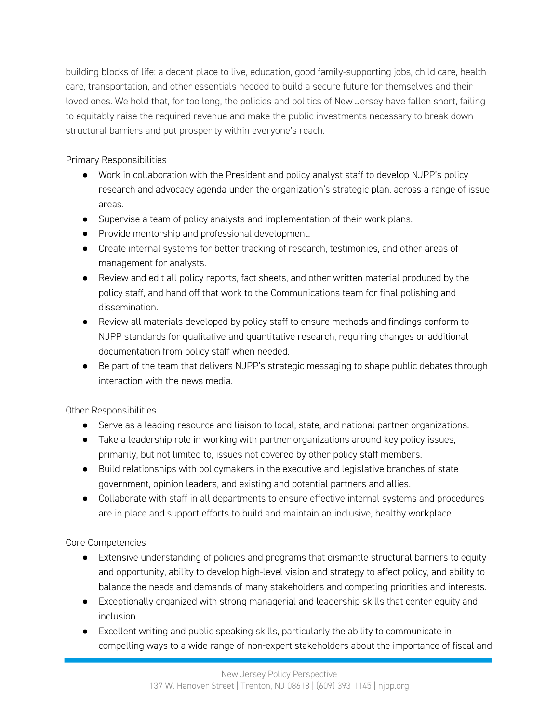building blocks of life: a decent place to live, education, good family-supporting jobs, child care, health care, transportation, and other essentials needed to build a secure future for themselves and their loved ones. We hold that, for too long, the policies and politics of New Jersey have fallen short, failing to equitably raise the required revenue and make the public investments necessary to break down structural barriers and put prosperity within everyone's reach.

Primary Responsibilities

- Work in collaboration with the President and policy analyst staff to develop NJPP's policy research and advocacy agenda under the organization's strategic plan, across a range of issue areas.
- Supervise a team of policy analysts and implementation of their work plans.
- Provide mentorship and professional development.
- Create internal systems for better tracking of research, testimonies, and other areas of management for analysts.
- Review and edit all policy reports, fact sheets, and other written material produced by the policy staff, and hand off that work to the Communications team for final polishing and dissemination.
- Review all materials developed by policy staff to ensure methods and findings conform to NJPP standards for qualitative and quantitative research, requiring changes or additional documentation from policy staff when needed.
- Be part of the team that delivers NJPP's strategic messaging to shape public debates through interaction with the news media.

Other Responsibilities

- Serve as a leading resource and liaison to local, state, and national partner organizations.
- Take a leadership role in working with partner organizations around key policy issues, primarily, but not limited to, issues not covered by other policy staff members.
- Build relationships with policymakers in the executive and legislative branches of state government, opinion leaders, and existing and potential partners and allies.
- Collaborate with staff in all departments to ensure effective internal systems and procedures are in place and support efforts to build and maintain an inclusive, healthy workplace.

Core Competencies

- Extensive understanding of policies and programs that dismantle structural barriers to equity and opportunity, ability to develop high-level vision and strategy to affect policy, and ability to balance the needs and demands of many stakeholders and competing priorities and interests.
- Exceptionally organized with strong managerial and leadership skills that center equity and inclusion.
- Excellent writing and public speaking skills, particularly the ability to communicate in compelling ways to a wide range of non-expert stakeholders about the importance of fiscal and